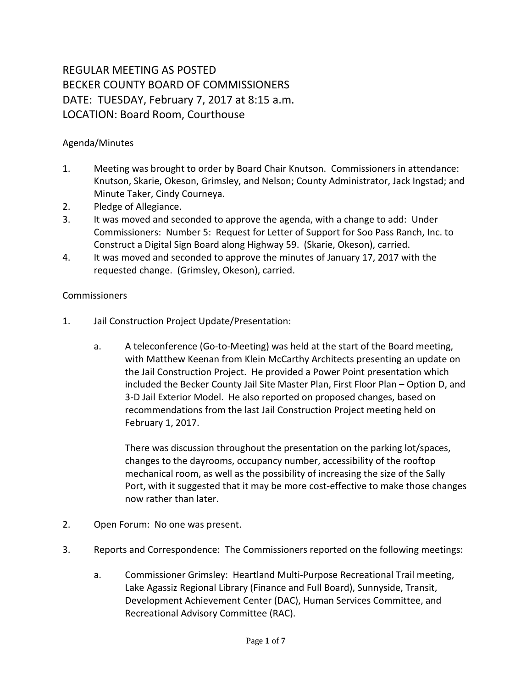## REGULAR MEETING AS POSTED BECKER COUNTY BOARD OF COMMISSIONERS DATE: TUESDAY, February 7, 2017 at 8:15 a.m. LOCATION: Board Room, Courthouse

## Agenda/Minutes

- 1. Meeting was brought to order by Board Chair Knutson. Commissioners in attendance: Knutson, Skarie, Okeson, Grimsley, and Nelson; County Administrator, Jack Ingstad; and Minute Taker, Cindy Courneya.
- 2. Pledge of Allegiance.
- 3. It was moved and seconded to approve the agenda, with a change to add: Under Commissioners: Number 5: Request for Letter of Support for Soo Pass Ranch, Inc. to Construct a Digital Sign Board along Highway 59. (Skarie, Okeson), carried.
- 4. It was moved and seconded to approve the minutes of January 17, 2017 with the requested change. (Grimsley, Okeson), carried.

## Commissioners

- 1. Jail Construction Project Update/Presentation:
	- a. A teleconference (Go-to-Meeting) was held at the start of the Board meeting, with Matthew Keenan from Klein McCarthy Architects presenting an update on the Jail Construction Project. He provided a Power Point presentation which included the Becker County Jail Site Master Plan, First Floor Plan – Option D, and 3-D Jail Exterior Model. He also reported on proposed changes, based on recommendations from the last Jail Construction Project meeting held on February 1, 2017.

There was discussion throughout the presentation on the parking lot/spaces, changes to the dayrooms, occupancy number, accessibility of the rooftop mechanical room, as well as the possibility of increasing the size of the Sally Port, with it suggested that it may be more cost-effective to make those changes now rather than later.

- 2. Open Forum: No one was present.
- 3. Reports and Correspondence: The Commissioners reported on the following meetings:
	- a. Commissioner Grimsley: Heartland Multi-Purpose Recreational Trail meeting, Lake Agassiz Regional Library (Finance and Full Board), Sunnyside, Transit, Development Achievement Center (DAC), Human Services Committee, and Recreational Advisory Committee (RAC).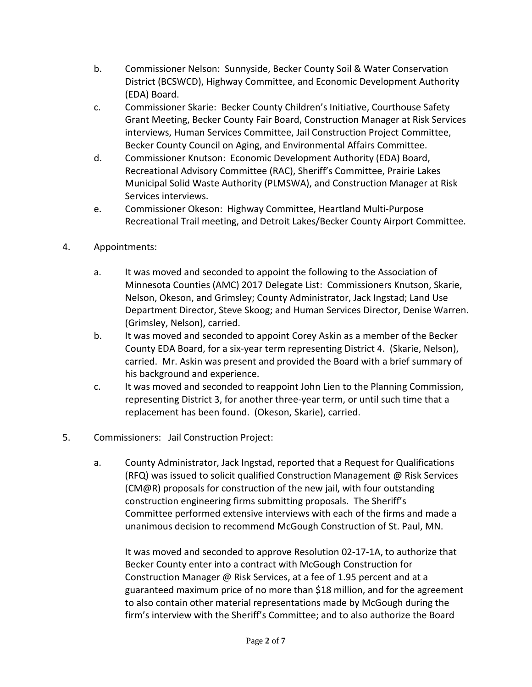- b. Commissioner Nelson: Sunnyside, Becker County Soil & Water Conservation District (BCSWCD), Highway Committee, and Economic Development Authority (EDA) Board.
- c. Commissioner Skarie: Becker County Children's Initiative, Courthouse Safety Grant Meeting, Becker County Fair Board, Construction Manager at Risk Services interviews, Human Services Committee, Jail Construction Project Committee, Becker County Council on Aging, and Environmental Affairs Committee.
- d. Commissioner Knutson: Economic Development Authority (EDA) Board, Recreational Advisory Committee (RAC), Sheriff's Committee, Prairie Lakes Municipal Solid Waste Authority (PLMSWA), and Construction Manager at Risk Services interviews.
- e. Commissioner Okeson: Highway Committee, Heartland Multi-Purpose Recreational Trail meeting, and Detroit Lakes/Becker County Airport Committee.
- 4. Appointments:
	- a. It was moved and seconded to appoint the following to the Association of Minnesota Counties (AMC) 2017 Delegate List: Commissioners Knutson, Skarie, Nelson, Okeson, and Grimsley; County Administrator, Jack Ingstad; Land Use Department Director, Steve Skoog; and Human Services Director, Denise Warren. (Grimsley, Nelson), carried.
	- b. It was moved and seconded to appoint Corey Askin as a member of the Becker County EDA Board, for a six-year term representing District 4. (Skarie, Nelson), carried. Mr. Askin was present and provided the Board with a brief summary of his background and experience.
	- c. It was moved and seconded to reappoint John Lien to the Planning Commission, representing District 3, for another three-year term, or until such time that a replacement has been found. (Okeson, Skarie), carried.
- 5. Commissioners: Jail Construction Project:
	- a. County Administrator, Jack Ingstad, reported that a Request for Qualifications (RFQ) was issued to solicit qualified Construction Management @ Risk Services (CM@R) proposals for construction of the new jail, with four outstanding construction engineering firms submitting proposals. The Sheriff's Committee performed extensive interviews with each of the firms and made a unanimous decision to recommend McGough Construction of St. Paul, MN.

It was moved and seconded to approve Resolution 02-17-1A, to authorize that Becker County enter into a contract with McGough Construction for Construction Manager @ Risk Services, at a fee of 1.95 percent and at a guaranteed maximum price of no more than \$18 million, and for the agreement to also contain other material representations made by McGough during the firm's interview with the Sheriff's Committee; and to also authorize the Board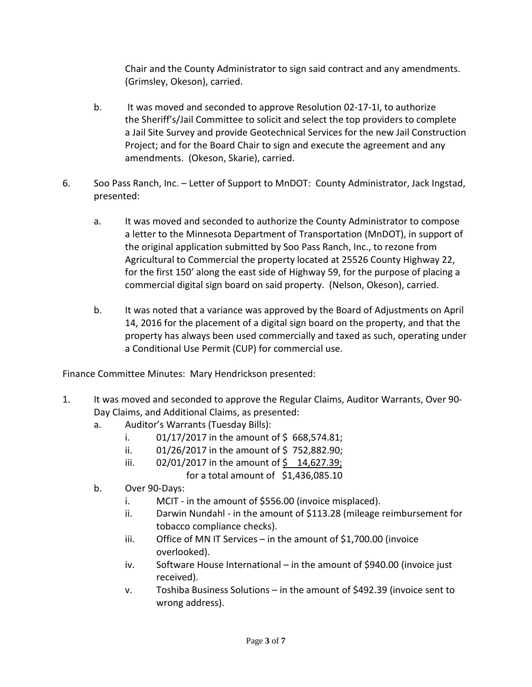Chair and the County Administrator to sign said contract and any amendments. (Grimsley, Okeson), carried.

- b. It was moved and seconded to approve Resolution 02-17-1I, to authorize the Sheriff's/Jail Committee to solicit and select the top providers to complete a Jail Site Survey and provide Geotechnical Services for the new Jail Construction Project; and for the Board Chair to sign and execute the agreement and any amendments. (Okeson, Skarie), carried.
- 6. Soo Pass Ranch, Inc. Letter of Support to MnDOT: County Administrator, Jack Ingstad, presented:
	- a. It was moved and seconded to authorize the County Administrator to compose a letter to the Minnesota Department of Transportation (MnDOT), in support of the original application submitted by Soo Pass Ranch, Inc., to rezone from Agricultural to Commercial the property located at 25526 County Highway 22, for the first 150' along the east side of Highway 59, for the purpose of placing a commercial digital sign board on said property. (Nelson, Okeson), carried.
	- b. It was noted that a variance was approved by the Board of Adjustments on April 14, 2016 for the placement of a digital sign board on the property, and that the property has always been used commercially and taxed as such, operating under a Conditional Use Permit (CUP) for commercial use.

Finance Committee Minutes: Mary Hendrickson presented:

- 1. It was moved and seconded to approve the Regular Claims, Auditor Warrants, Over 90- Day Claims, and Additional Claims, as presented:
	- a. Auditor's Warrants (Tuesday Bills):
		- i.  $01/17/2017$  in the amount of \$668,574.81;
		- ii.  $01/26/2017$  in the amount of \$752,882.90;
		- iii.  $02/01/2017$  in the amount of \$ 14,627.39;
			- for a total amount of  $$1,436,085.10$
	- b. Over 90-Days:
		- i. MCIT in the amount of \$556.00 (invoice misplaced).
		- ii. Darwin Nundahl in the amount of \$113.28 (mileage reimbursement for tobacco compliance checks).
		- iii. Office of MN IT Services in the amount of \$1,700.00 (invoice overlooked).
		- iv. Software House International in the amount of \$940.00 (invoice just received).
		- v. Toshiba Business Solutions in the amount of \$492.39 (invoice sent to wrong address).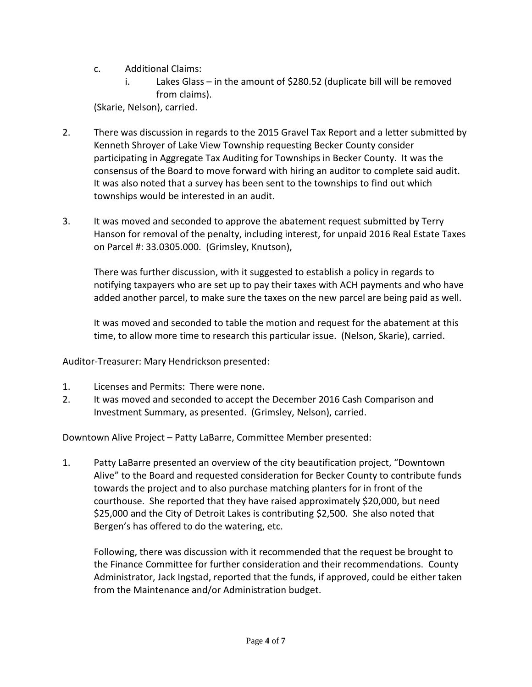- c. Additional Claims:
	- i. Lakes Glass in the amount of \$280.52 (duplicate bill will be removed from claims).

(Skarie, Nelson), carried.

- 2. There was discussion in regards to the 2015 Gravel Tax Report and a letter submitted by Kenneth Shroyer of Lake View Township requesting Becker County consider participating in Aggregate Tax Auditing for Townships in Becker County. It was the consensus of the Board to move forward with hiring an auditor to complete said audit. It was also noted that a survey has been sent to the townships to find out which townships would be interested in an audit.
- 3. It was moved and seconded to approve the abatement request submitted by Terry Hanson for removal of the penalty, including interest, for unpaid 2016 Real Estate Taxes on Parcel #: 33.0305.000. (Grimsley, Knutson),

There was further discussion, with it suggested to establish a policy in regards to notifying taxpayers who are set up to pay their taxes with ACH payments and who have added another parcel, to make sure the taxes on the new parcel are being paid as well.

It was moved and seconded to table the motion and request for the abatement at this time, to allow more time to research this particular issue. (Nelson, Skarie), carried.

Auditor-Treasurer: Mary Hendrickson presented:

- 1. Licenses and Permits: There were none.
- 2. It was moved and seconded to accept the December 2016 Cash Comparison and Investment Summary, as presented. (Grimsley, Nelson), carried.

Downtown Alive Project – Patty LaBarre, Committee Member presented:

1. Patty LaBarre presented an overview of the city beautification project, "Downtown Alive" to the Board and requested consideration for Becker County to contribute funds towards the project and to also purchase matching planters for in front of the courthouse. She reported that they have raised approximately \$20,000, but need \$25,000 and the City of Detroit Lakes is contributing \$2,500. She also noted that Bergen's has offered to do the watering, etc.

Following, there was discussion with it recommended that the request be brought to the Finance Committee for further consideration and their recommendations. County Administrator, Jack Ingstad, reported that the funds, if approved, could be either taken from the Maintenance and/or Administration budget.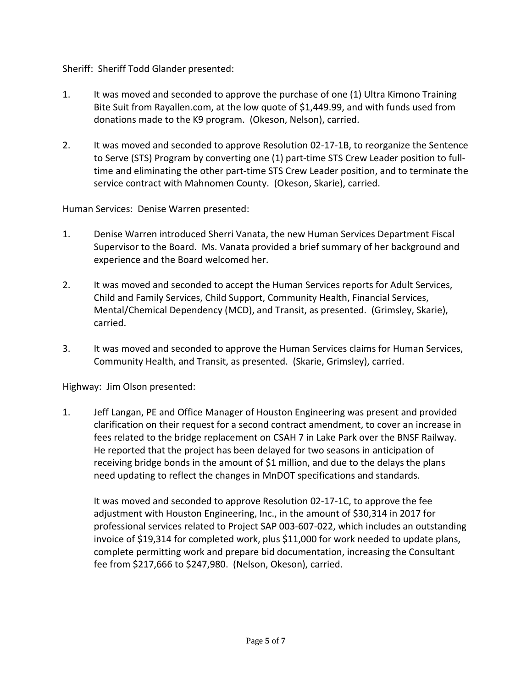Sheriff: Sheriff Todd Glander presented:

- 1. It was moved and seconded to approve the purchase of one (1) Ultra Kimono Training Bite Suit from Rayallen.com, at the low quote of \$1,449.99, and with funds used from donations made to the K9 program. (Okeson, Nelson), carried.
- 2. It was moved and seconded to approve Resolution 02-17-1B, to reorganize the Sentence to Serve (STS) Program by converting one (1) part-time STS Crew Leader position to fulltime and eliminating the other part-time STS Crew Leader position, and to terminate the service contract with Mahnomen County. (Okeson, Skarie), carried.

Human Services: Denise Warren presented:

- 1. Denise Warren introduced Sherri Vanata, the new Human Services Department Fiscal Supervisor to the Board. Ms. Vanata provided a brief summary of her background and experience and the Board welcomed her.
- 2. It was moved and seconded to accept the Human Services reports for Adult Services, Child and Family Services, Child Support, Community Health, Financial Services, Mental/Chemical Dependency (MCD), and Transit, as presented. (Grimsley, Skarie), carried.
- 3. It was moved and seconded to approve the Human Services claims for Human Services, Community Health, and Transit, as presented. (Skarie, Grimsley), carried.

Highway: Jim Olson presented:

1. Jeff Langan, PE and Office Manager of Houston Engineering was present and provided clarification on their request for a second contract amendment, to cover an increase in fees related to the bridge replacement on CSAH 7 in Lake Park over the BNSF Railway. He reported that the project has been delayed for two seasons in anticipation of receiving bridge bonds in the amount of \$1 million, and due to the delays the plans need updating to reflect the changes in MnDOT specifications and standards.

It was moved and seconded to approve Resolution 02-17-1C, to approve the fee adjustment with Houston Engineering, Inc., in the amount of \$30,314 in 2017 for professional services related to Project SAP 003-607-022, which includes an outstanding invoice of \$19,314 for completed work, plus \$11,000 for work needed to update plans, complete permitting work and prepare bid documentation, increasing the Consultant fee from \$217,666 to \$247,980. (Nelson, Okeson), carried.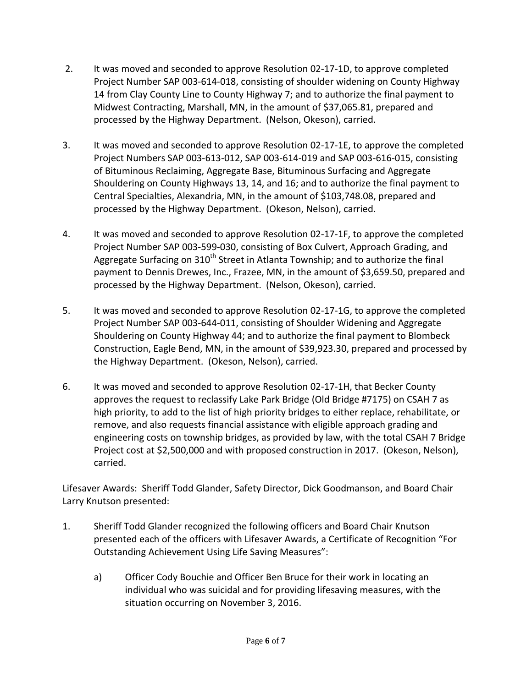- 2. It was moved and seconded to approve Resolution 02-17-1D, to approve completed Project Number SAP 003-614-018, consisting of shoulder widening on County Highway 14 from Clay County Line to County Highway 7; and to authorize the final payment to Midwest Contracting, Marshall, MN, in the amount of \$37,065.81, prepared and processed by the Highway Department. (Nelson, Okeson), carried.
- 3. It was moved and seconded to approve Resolution 02-17-1E, to approve the completed Project Numbers SAP 003-613-012, SAP 003-614-019 and SAP 003-616-015, consisting of Bituminous Reclaiming, Aggregate Base, Bituminous Surfacing and Aggregate Shouldering on County Highways 13, 14, and 16; and to authorize the final payment to Central Specialties, Alexandria, MN, in the amount of \$103,748.08, prepared and processed by the Highway Department. (Okeson, Nelson), carried.
- 4. It was moved and seconded to approve Resolution 02-17-1F, to approve the completed Project Number SAP 003-599-030, consisting of Box Culvert, Approach Grading, and Aggregate Surfacing on  $310<sup>th</sup>$  Street in Atlanta Township; and to authorize the final payment to Dennis Drewes, Inc., Frazee, MN, in the amount of \$3,659.50, prepared and processed by the Highway Department. (Nelson, Okeson), carried.
- 5. It was moved and seconded to approve Resolution 02-17-1G, to approve the completed Project Number SAP 003-644-011, consisting of Shoulder Widening and Aggregate Shouldering on County Highway 44; and to authorize the final payment to Blombeck Construction, Eagle Bend, MN, in the amount of \$39,923.30, prepared and processed by the Highway Department. (Okeson, Nelson), carried.
- 6. It was moved and seconded to approve Resolution 02-17-1H, that Becker County approves the request to reclassify Lake Park Bridge (Old Bridge #7175) on CSAH 7 as high priority, to add to the list of high priority bridges to either replace, rehabilitate, or remove, and also requests financial assistance with eligible approach grading and engineering costs on township bridges, as provided by law, with the total CSAH 7 Bridge Project cost at \$2,500,000 and with proposed construction in 2017. (Okeson, Nelson), carried.

Lifesaver Awards: Sheriff Todd Glander, Safety Director, Dick Goodmanson, and Board Chair Larry Knutson presented:

- 1. Sheriff Todd Glander recognized the following officers and Board Chair Knutson presented each of the officers with Lifesaver Awards, a Certificate of Recognition "For Outstanding Achievement Using Life Saving Measures":
	- a) Officer Cody Bouchie and Officer Ben Bruce for their work in locating an individual who was suicidal and for providing lifesaving measures, with the situation occurring on November 3, 2016.